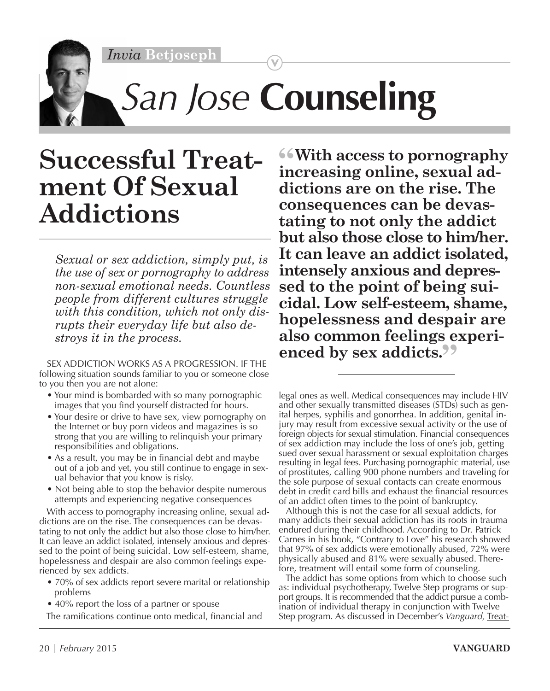*Invia* **Betjoseph**



## *San Jose* **Counseling**

## **Successful Treatment Of Sexual Addictions**

*Sexual or sex addiction, simply put, is the use of sex or pornography to address non-sexual emotional needs. Countless people from different cultures struggle with this condition, which not only disrupts their everyday life but also destroys it in the process.*

SEX ADDICTION WORKS AS A PROGRESSION. IF THE following situation sounds familiar to you or someone close to you then you are not alone:

- Your mind is bombarded with so many pornographic images that you find yourself distracted for hours.
- Your desire or drive to have sex, view pornography on the Internet or buy porn videos and magazines is so strong that you are willing to relinquish your primary responsibilities and obligations.
- As a result, you may be in financial debt and maybe out of a job and yet, you still continue to engage in sexual behavior that you know is risky.
- Not being able to stop the behavior despite numerous attempts and experiencing negative consequences

With access to pornography increasing online, sexual addictions are on the rise. The consequences can be devastating to not only the addict but also those close to him/her. It can leave an addict isolated, intensely anxious and depressed to the point of being suicidal. Low self-esteem, shame, hopelessness and despair are also common feelings experienced by sex addicts.

- 70% of sex addicts report severe marital or relationship problems
- 40% report the loss of a partner or spouse

The ramifications continue onto medical, financial and

**"With access to pornography increasing online, sexual addictions are on the rise. The consequences can be devastating to not only the addict but also those close to him/her. It can leave an addict isolated, intensely anxious and depressed to the point of being suicidal. Low self-esteem, shame, hopelessness and despair are also common feelings experi**enced by sex addicts.<sup>99</sup>

legal ones as well. Medical consequences may include HIV and other sexually transmitted diseases (STDs) such as genital herpes, syphilis and gonorrhea. In addition, genital injury may result from excessive sexual activity or the use of foreign objects for sexual stimulation. Financial consequences of sex addiction may include the loss of one's job, getting sued over sexual harassment or sexual exploitation charges resulting in legal fees. Purchasing pornographic material, use of prostitutes, calling 900 phone numbers and traveling for the sole purpose of sexual contacts can create enormous debt in credit card bills and exhaust the financial resources of an addict often times to the point of bankruptcy.

Although this is not the case for all sexual addicts, for many addicts their sexual addiction has its roots in trauma endured during their childhood. According to Dr. Patrick Carnes in his book, "Contrary to Love" his research showed that 97% of sex addicts were emotionally abused, 72% were physically abused and 81% were sexually abused. Therefore, treatment will entail some form of counseling.

The addict has some options from which to choose such as: individual psychotherapy, Twelve Step programs or support groups. It is recommended that the addict pursue a combination of individual therapy in conjunction with Twelve Step program. As discussed in December's *Vanguard,* Treat